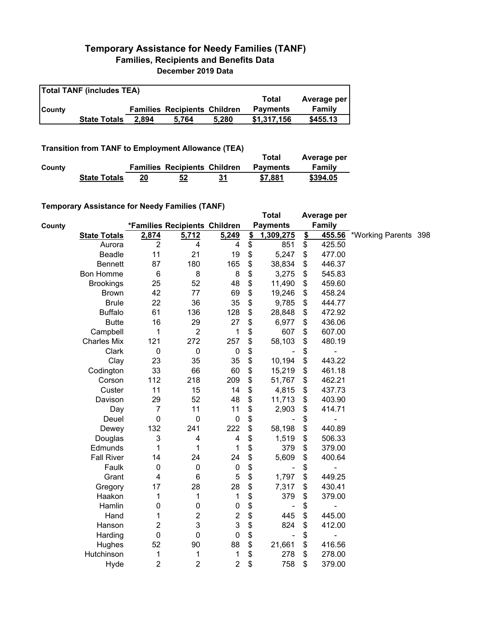## **Temporary Assistance for Needy Families (TANF) Families, Recipients and Benefits Data December 2019 Data**

| <b>Total TANF (includes TEA)</b> |                     |       |                                     |       |                 |             |  |  |
|----------------------------------|---------------------|-------|-------------------------------------|-------|-----------------|-------------|--|--|
|                                  |                     |       |                                     |       | Total           | Average per |  |  |
| <b>County</b>                    |                     |       | <b>Families Recipients Children</b> |       | <b>Payments</b> | Family      |  |  |
|                                  | <b>State Totals</b> | 2.894 | 5.764                               | 5.280 | \$1.317.156     | \$455.13    |  |  |

## **Transition from TANF to Employment Allowance (TEA)**

|        | <b>ITAIISIUVII ITVIII TAIVE LU EIIIPIVYIIIEIIL AIIUWAIICE (TEA)</b> |    |                                     |    | Total           | Average per |
|--------|---------------------------------------------------------------------|----|-------------------------------------|----|-----------------|-------------|
| County |                                                                     |    | <b>Families Recipients Children</b> |    | <b>Payments</b> | Family      |
|        | <b>State Totals</b>                                                 | 20 | 52                                  | 31 | \$7.881         | \$394.05    |

## **Temporary Assistance for Needy Families (TANF)**

|        | $\frac{1}{2}$ Assistance for receip rainines (TANT) |                  |                               |                  | <b>Total</b>         |               | Average per    |                      |  |
|--------|-----------------------------------------------------|------------------|-------------------------------|------------------|----------------------|---------------|----------------|----------------------|--|
| County |                                                     |                  | *Families Recipients Children |                  | <b>Payments</b>      |               | <b>Family</b>  |                      |  |
|        | <b>State Totals</b>                                 | 2,874            | 5,712                         | 5,249            | \$<br>1,309,275      | $\frac{2}{2}$ | 455.56         | *Working Parents 398 |  |
|        | Aurora                                              | $\overline{2}$   | 4                             | 4                | \$<br>851            | \$            | 425.50         |                      |  |
|        | Beadle                                              | 11               | 21                            | 19               | \$<br>5,247          | \$            | 477.00         |                      |  |
|        | <b>Bennett</b>                                      | 87               | 180                           | 165              | \$<br>38,834         | \$            | 446.37         |                      |  |
|        | <b>Bon Homme</b>                                    | $\,6$            | 8                             | 8                | \$<br>3,275          | \$            | 545.83         |                      |  |
|        | <b>Brookings</b>                                    | 25               | 52                            | 48               | \$<br>11,490         | \$            | 459.60         |                      |  |
|        | <b>Brown</b>                                        | 42               | 77                            | 69               | \$<br>19,246         | \$            | 458.24         |                      |  |
|        | <b>Brule</b>                                        | 22               | 36                            | 35               | \$<br>9,785          | \$            | 444.77         |                      |  |
|        | <b>Buffalo</b>                                      | 61               | 136                           | 128              | \$<br>28,848         | \$            | 472.92         |                      |  |
|        | <b>Butte</b>                                        | 16               | 29                            | 27               | \$<br>6,977          | \$            | 436.06         |                      |  |
|        | Campbell                                            | 1                | $\overline{2}$                | 1                | \$<br>607            | \$            | 607.00         |                      |  |
|        | <b>Charles Mix</b>                                  | 121              | 272                           | 257              | \$<br>58,103         | \$            | 480.19         |                      |  |
|        | Clark                                               | $\boldsymbol{0}$ | $\pmb{0}$                     | $\mathbf 0$      | \$                   | \$            | $\overline{a}$ |                      |  |
|        | Clay                                                | 23               | 35                            | 35               | \$<br>10,194         | \$            | 443.22         |                      |  |
|        | Codington                                           | 33               | 66                            | 60               | \$<br>15,219         | \$            | 461.18         |                      |  |
|        | Corson                                              | 112              | 218                           | 209              | \$<br>51,767         | \$            | 462.21         |                      |  |
|        | Custer                                              | 11               | 15                            | 14               | \$<br>4,815          | \$            | 437.73         |                      |  |
|        | Davison                                             | 29               | 52                            | 48               | \$<br>11,713         | \$            | 403.90         |                      |  |
|        | Day                                                 | 7                | 11                            | 11               | \$<br>2,903          | \$            | 414.71         |                      |  |
|        | Deuel                                               | $\mathbf 0$      | $\mathbf 0$                   | 0                | \$                   | \$            |                |                      |  |
|        | Dewey                                               | 132              | 241                           | 222              | \$<br>58,198         | \$            | 440.89         |                      |  |
|        | Douglas                                             | 3                | 4                             | 4                | \$<br>1,519          | \$            | 506.33         |                      |  |
|        | Edmunds                                             | 1                | 1                             | 1                | \$<br>379            | \$            | 379.00         |                      |  |
|        | <b>Fall River</b>                                   | 14               | 24                            | 24               | \$<br>5,609          | \$            | 400.64         |                      |  |
|        | Faulk                                               | $\mathbf 0$      | $\pmb{0}$                     | $\pmb{0}$        | \$                   | \$            |                |                      |  |
|        | Grant                                               | 4                | 6                             | $\mathbf 5$      | \$<br>1,797          | \$            | 449.25         |                      |  |
|        | Gregory                                             | 17               | 28                            | 28               | \$<br>7,317          | \$            | 430.41         |                      |  |
|        | Haakon                                              | 1                | 1                             | 1                | \$<br>379            | \$            | 379.00         |                      |  |
|        | Hamlin                                              | 0                | $\pmb{0}$                     | $\pmb{0}$        | \$                   | \$            |                |                      |  |
|        | Hand                                                | 1                | 2                             | $\boldsymbol{2}$ | \$<br>445            | \$            | 445.00         |                      |  |
|        | Hanson                                              | 2                | 3                             | 3                | \$<br>824            | \$            | 412.00         |                      |  |
|        | Harding                                             | 0                | $\mathbf 0$                   | $\pmb{0}$        | \$<br>$\blacksquare$ | \$            | ÷              |                      |  |
|        | Hughes                                              | 52               | 90                            | 88               | \$<br>21,661         | \$            | 416.56         |                      |  |
|        | Hutchinson                                          | 1                | 1                             | 1                | \$<br>278            | \$            | 278.00         |                      |  |
|        | Hyde                                                | $\overline{c}$   | $\overline{2}$                | $\overline{c}$   | \$<br>758            | \$            | 379.00         |                      |  |